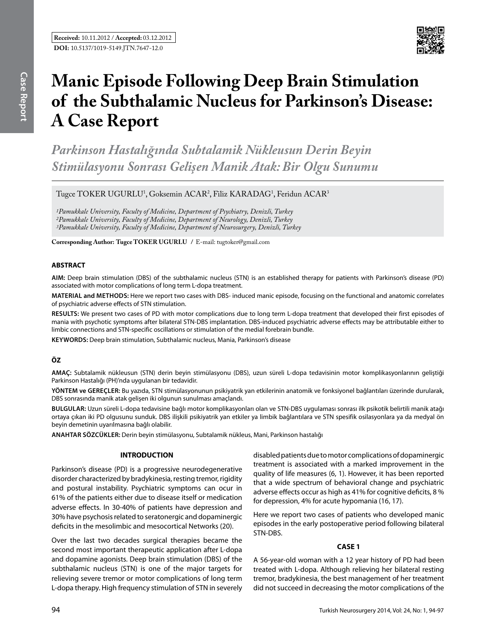

# **Manic Episode Following Deep Brain Stimulation of the Subthalamic Nucleus for Parkinson's Disease: A Case Report**

*Parkinson Hastalığında Subtalamik Nükleusun Derin Beyin Stimülasyonu Sonrası Gelişen Manik Atak: Bir Olgu Sunumu*

Tugce TOKER UGURLU<sup>1</sup>, Goksemin ACAR<sup>2</sup>, Filiz KARADAG<sup>1</sup>, Feridun ACAR<sup>3</sup>

*1Pamukkale University, Faculty of Medicine, Department of Psychiatry, Denizli, Turkey 2Pamukkale University, Faculty of Medicine, Department of Neurology, Denizli, Turkey 3Pamukkale University, Faculty of Medicine, Department of Neurosurgery, Denizli, Turkey*

**Corresponding Author: Tugce Toker Ugurlu /** E-mail: tugtoker@gmail.com

### **ABSTRACT**

**AIm:** Deep brain stimulation (DBS) of the subthalamic nucleus (STN) is an established therapy for patients with Parkinson's disease (PD) associated with motor complications of long term L-dopa treatment.

**MaterIal and Methods:** Here we report two cases with DBS- induced manic episode, focusing on the functional and anatomic correlates of psychiatric adverse effects of STN stimulation.

**Results:** We present two cases of PD with motor complications due to long term L-dopa treatment that developed their first episodes of mania with psychotic symptoms after bilateral STN-DBS implantation. DBS-induced psychiatric adverse effects may be attributable either to limbic connections and STN-specific oscillations or stimulation of the medial forebrain bundle.

**Keywords:** Deep brain stimulation, Subthalamic nucleus, Mania, Parkinson's disease

## **ÖZ**

**AMAÇ:** Subtalamik nükleusun (STN) derin beyin stimülasyonu (DBS), uzun süreli L-dopa tedavisinin motor komplikasyonlarının geliştiği Parkinson Hastalığı (PH)'nda uygulanan bir tedavidir.

**YÖNTEM ve GEREÇLER:** Bu yazıda, STN stimülasyonunun psikiyatrik yan etkilerinin anatomik ve fonksiyonel bağlantıları üzerinde durularak, DBS sonrasında manik atak gelişen iki olgunun sunulması amaçlandı.

**BULGULAR:** Uzun süreli L-dopa tedavisine bağlı motor komplikasyonları olan ve STN-DBS uygulaması sonrası ilk psikotik belirtili manik atağı ortaya çıkan iki PD olgusunu sunduk. DBS ilişkili psikiyatrik yan etkiler ya limbik bağlantılara ve STN spesifik osilasyonlara ya da medyal ön beyin demetinin uyarılmasına bağlı olabilir.

**ANAHTAR SÖZCÜKLER:** Derin beyin stimülasyonu, Subtalamik nükleus, Mani, Parkinson hastalığı

### **INTRODUCTION**

Parkinson's disease (PD) is a progressive neurodegenerative disorder characterized by bradykinesia, resting tremor, rigidity and postural instability. Psychiatric symptoms can ocur in 61% of the patients either due to disease itself or medication adverse effects. In 30-40% of patients have depression and 30% have psychosis related to seratonergic and dopaminergic deficits in the mesolimbic and mesocortical Networks (20).

Over the last two decades surgical therapies became the second most important therapeutic application after L-dopa and dopamine agonists. Deep brain stimulation (DBS) of the subthalamic nucleus (STN) is one of the major targets for relieving severe tremor or motor complications of long term L-dopa therapy. High frequency stimulation of STN in severely disabled patients due to motor complications of dopaminergic treatment is associated with a marked improvement in the quality of life measures (6, 1). However, it has been reported that a wide spectrum of behavioral change and psychiatric adverse effects occur as high as 41% for cognitive deficits, 8 % for depression, 4% for acute hypomania (16, 17).

Here we report two cases of patients who developed manic episodes in the early postoperative period following bilateral STN-DBS.

### **CASE 1**

A 56-year-old woman with a 12 year history of PD had been treated with L-dopa. Although relieving her bilateral resting tremor, bradykinesia, the best management of her treatment did not succeed in decreasing the motor complications of the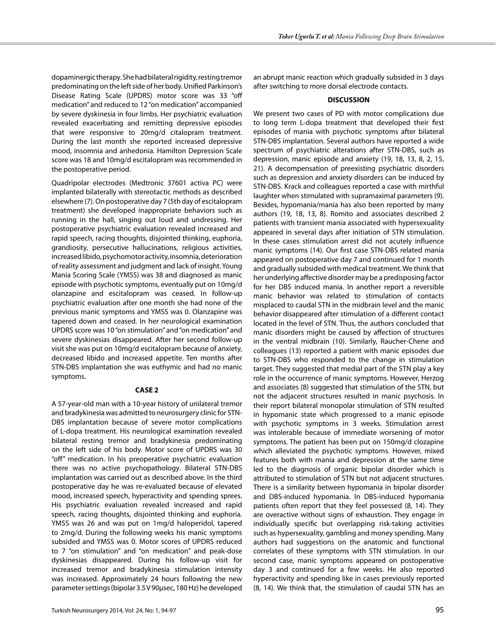dopaminergic therapy. She had bilateral rigidity, resting tremor predominating on the left side of her body. Unified Parkinson's Disease Rating Scale (UPDRS) motor score was 33 "off medication" and reduced to 12 "on medication" accompanied by severe dyskinesia in four limbs. Her psychiatric evaluation revealed exacerbating and remitting depressive episodes that were responsive to 20mg/d citalopram treatment. During the last month she reported increased depressive mood, insomnia and anhedonia. Hamilton Depression Scale score was 18 and 10mg/d escitalopram was recommended in the postoperative period.

Quadripolar electrodes (Medtronic 37601 activa PC) were implanted bilaterally with stereotactic methods as described elsewhere (7). On postoperative day 7 (5th day of escitalopram treatment) she developed inappropriate behaviors such as running in the hall, singing out loud and undressing. Her postoperative psychiatric evaluation revealed increased and rapid speech, racing thoughts, disjointed thinking, euphoria, grandiosity, persecutive hallucinations, religious activities, increased libido, psychomotor activity, insomnia, deterioration of reality assessment and judgment and lack of insight. Young Mania Scoring Scale (YMSS) was 38 and diagnosed as manic episode with psychotic symptoms, eventually put on 10mg/d olanzapine and escitalopram was ceased. In follow-up psychiatric evaluation after one month she had none of the previous manic symptoms and YMSS was 0. Olanzapine was tapered down and ceased. In her neurological examination UPDRS score was 10 "on stimulation" and "on medication" and severe dyskinesias disappeared. After her second follow-up visit she was put on 10mg/d escitalopram because of anxiety, decreased libido and increased appetite. Ten months after STN-DBS implantation she was euthymic and had no manic symptoms.

#### **CASE 2**

A 57-year-old man with a 10-year history of unilateral tremor and bradykinesia was admitted to neurosurgery clinic for STN-DBS implantation because of severe motor complications of L-dopa treatment. His neurological examination revealed bilateral resting tremor and bradykinesia predominating on the left side of his body. Motor score of UPDRS was 30 "off" medication. In his preoperative psychiatric evaluation there was no active psychopathology. Bilateral STN-DBS implantation was carried out as described above. In the third postoperative day he was re-evaluated because of elevated mood, increased speech, hyperactivity and spending sprees. His psychiatric evaluation revealed increased and rapid speech, racing thoughts, disjointed thinking and euphoria. YMSS was 26 and was put on 1mg/d haloperidol, tapered to 2mg/d. During the following weeks his manic symptoms subsided and YMSS was 0. Motor scores of UPDRS reduced to 7 "on stimulation" and "on medication" and peak-dose dyskinesias disappeared. During his follow-up visit for increased tremor and bradykinesia stimulation intensity was increased. Approximately 24 hours following the new parameter settings (bipolar 3.5 V 90μsec, 180 Hz) he developed

an abrupt manic reaction which gradually subsided in 3 days after switching to more dorsal electrode contacts.

#### **DISCUSSION**

We present two cases of PD with motor complications due to long term L-dopa treatment that developed their first episodes of mania with psychotic symptoms after bilateral STN-DBS implantation. Several authors have reported a wide spectrum of psychiatric alterations after STN-DBS, such as depression, manic episode and anxiety (19, 18, 13, 8, 2, 15, 21). A decompensation of preexisting psychiatric disorders such as depression and anxiety disorders can be induced by STN-DBS. Krack and colleagues reported a case with mirthful laughter when stimulated with supramaximal parameters (9). Besides, hypomania/mania has also been reported by many authors (19, 18, 13, 8). Romito and associates described 2 patients with transient mania associated with hypersexuality appeared in several days after initiation of STN stimulation. In these cases stimulation arrest did not acutely influence manic symptoms (14). Our first case STN-DBS related mania appeared on postoperative day 7 and continued for 1 month and gradually subsided with medical treatment. We think that her underlying affective disorder may be a predisposing factor for her DBS induced mania. In another report a reversible manic behavior was related to stimulation of contacts misplaced to caudal STN in the midbrain level and the manic behavior disappeared after stimulation of a different contact located in the level of STN. Thus, the authors concluded that manic disorders might be caused by affection of structures in the ventral midbrain (10). Similarly, Raucher-Chene and colleagues (13) reported a patient with manic episodes due to STN-DBS who responded to the change in stimulation target. They suggested that medial part of the STN play a key role in the occurrence of manic symptoms. However, Herzog and associates (8) suggested that stimulation of the STN, but not the adjacent structures resulted in manic psychosis. In their report bilateral monopolar stimulation of STN resulted in hypomanic state which progressed to a manic episode with psychotic symptoms in 3 weeks. Stimulation arrest was intolerable because of immediate worsening of motor symptoms. The patient has been put on 150mg/d clozapine which alleviated the psychotic symptoms. However, mixed features both with mania and depression at the same time led to the diagnosis of organic bipolar disorder which is attributed to stimulation of STN but not adjacent structures. There is a similarity between hypomania in bipolar disorder and DBS-induced hypomania. In DBS-induced hypomania patients often report that they feel possessed (8, 14). They are overactive without signs of exhaustion. They engage in individually specific but overlapping risk-taking activities such as hypersexuality, gambling and money spending. Many authors had suggestions on the anatomic and functional correlates of these symptoms with STN stimulation. In our second case, manic symptoms appeared on postoperative day 3 and continued for a few weeks. He also reported hyperactivity and spending like in cases previously reported (8, 14). We think that, the stimulation of caudal STN has an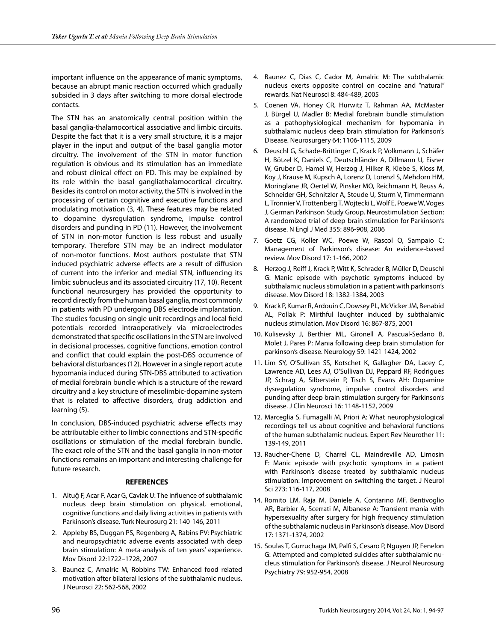important influence on the appearance of manic symptoms, because an abrupt manic reaction occurred which gradually subsided in 3 days after switching to more dorsal electrode contacts.

The STN has an anatomically central position within the basal ganglia-thalamocortical associative and limbic circuits. Despite the fact that it is a very small structure, it is a major player in the input and output of the basal ganglia motor circuitry. The involvement of the STN in motor function regulation is obvious and its stimulation has an immediate and robust clinical effect on PD. This may be explained by its role within the basal gangliathalamocortical circuitry. Besides its control on motor activity, the STN is involved in the processing of certain cognitive and executive functions and modulating motivation (3, 4). These features may be related to dopamine dysregulation syndrome, impulse control disorders and punding in PD (11). However, the involvement of STN in non-motor function is less robust and usually temporary. Therefore STN may be an indirect modulator of non-motor functions. Most authors postulate that STN induced psychiatric adverse effects are a result of diffusion of current into the inferior and medial STN, influencing its limbic subnucleus and its associated circuitry (17, 10). Recent functional neurosurgery has provided the opportunity to record directly from the human basal ganglia, most commonly in patients with PD undergoing DBS electrode implantation. The studies focusing on single unit recordings and local field potentials recorded intraoperatively via microelectrodes demonstrated that specific oscillations in the STN are involved in decisional processes, cognitive functions, emotion control and conflict that could explain the post-DBS occurrence of behavioral disturbances (12). However in a single report acute hypomania induced during STN-DBS attributed to activation of medial forebrain bundle which is a structure of the reward circuitry and a key structure of mesolimbic-dopamine system that is related to affective disorders, drug addiction and learning (5).

In conclusion, DBS-induced psychiatric adverse effects may be attributable either to limbic connections and STN-specific oscillations or stimulation of the medial forebrain bundle. The exact role of the STN and the basal ganglia in non-motor functions remains an important and interesting challenge for future research.

### **REFERENCES**

- 1. Altuğ F, Acar F, Acar G, Cavlak U: The influence of subthalamic nucleus deep brain stimulation on physical, emotional, cognitive functions and daily living activities in patients with Parkinson's disease. Turk Neurosurg 21: 140-146, 2011
- 2. Appleby BS, Duggan PS, Regenberg A, Rabins PV: Psychiatric and neuropsychiatric adverse events associated with deep brain stimulation: A meta-analysis of ten years' experience. Mov Disord 22:1722–1728, 2007
- 3. Baunez C, Amalric M, Robbins TW: Enhanced food related motivation after bilateral lesions of the subthalamic nucleus. J Neurosci 22: 562-568, 2002
- 4. Baunez C, Dias C, Cador M, Amalric M: The subthalamic nucleus exerts opposite control on cocaine and "natural" rewards. Nat Neurosci 8: 484-489, 2005
- 5. Coenen VA, Honey CR, Hurwitz T, Rahman AA, McMaster J, Bürgel U, Madler B: Medial forebrain bundle stimulation as a pathophysiological mechanism for hypomania in subthalamic nucleus deep brain stimulation for Parkinson's Disease. Neurosurgery 64: 1106-1115, 2009
- 6. Deuschl G, Schade-Brittinger C, Krack P, Volkmann J, Schäfer H, Bötzel K, Daniels C, Deutschländer A, Dillmann U, Eisner W, Gruber D, Hamel W, Herzog J, Hilker R, Klebe S, Kloss M, Koy J, Krause M, Kupsch A, Lorenz D, Lorenzl S, Mehdorn HM, Moringlane JR, Oertel W, Pinsker MO, Reichmann H, Reuss A, Schneider GH, Schnitzler A, Steude U, Sturm V, Timmermann L, Tronnier V, Trottenberg T, Wojtecki L, Wolf E, Poewe W, Voges J, German Parkinson Study Group, Neurostimulation Section: A randomized trial of deep-brain stimulation for Parkinson's disease. N Engl J Med 355: 896-908, 2006
- 7. Goetz CG, Koller WC, Poewe W, Rascol O, Sampaio C: Management of Parkinson's disease: An evidence-based review. Mov Disord 17: 1-166, 2002
- 8. Herzog J, Reiff J, Krack P, Witt K, Schrader B, Müller D, Deuschl G: Manic episode with psychotic symptoms induced by subthalamic nucleus stimulation in a patient with parkinson's disease. Mov Disord 18: 1382-1384, 2003
- 9. Krack P, Kumar R, Ardouin C, Dowsey PL, McVicker JM, Benabid AL, Pollak P: Mirthful laughter induced by subthalamic nucleus stimulation. Mov Disord 16: 867-875, 2001
- 10. Kulisevsky J, Berthier ML, Gironell A, Pascual-Sedano B, Molet J, Pares P: Mania following deep brain stimulation for parkinson's disease. Neurology 59: 1421-1424, 2002
- 11. Lim SY, O'Sullivan SS, Kotschet K, Gallagher DA, Lacey C, Lawrence AD, Lees AJ, O'Sullivan DJ, Peppard RF, Rodrigues JP, Schrag A, Silberstein P, Tisch S, Evans AH: Dopamine dysregulation syndrome, impulse control disorders and punding after deep brain stimulation surgery for Parkinson's disease. J Clin Neurosci 16: 1148-1152, 2009
- 12. Marceglia S, Fumagalli M, Priori A: What neurophysiological recordings tell us about cognitive and behavioral functions of the human subthalamic nucleus. Expert Rev Neurother 11: 139-149, 2011
- 13. Raucher-Chene D, Charrel CL, Maindreville AD, Limosin F: Manic episode with psychotic symptoms in a patient with Parkinson's disease treated by subthalamic nucleus stimulation: Improvement on switching the target. J Neurol Sci 273: 116-117, 2008
- 14. Romito LM, Raja M, Daniele A, Contarino MF, Bentivoglio AR, Barbier A, Scerrati M, Albanese A: Transient mania with hypersexuality after surgery for high frequency stimulation of the subthalamic nucleus in Parkinson's disease. Mov Disord 17: 1371-1374, 2002
- 15. Soulas T, Gurruchaga JM, Palfi S, Cesaro P, Nguyen JP, Fenelon G: Attempted and completed suicides after subthalamic nucleus stimulation for Parkinson's disease. J Neurol Neurosurg Psychiatry 79: 952-954, 2008